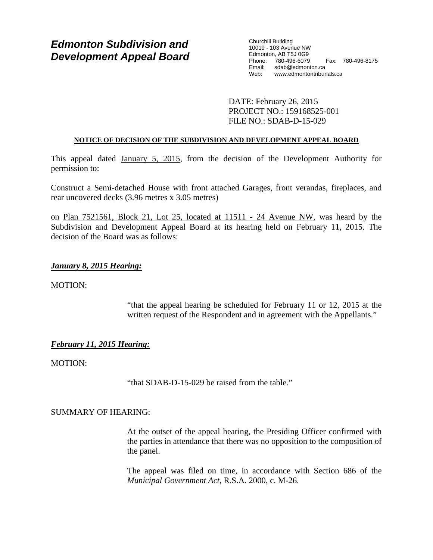# *Edmonton Subdivision and Development Appeal Board*

Churchill Building 10019 - 103 Avenue NW Edmonton, AB T5J 0G9 Phone: 780-496-6079 Fax: 780-496-8175 Email: sdab@edmonton.ca<br>Web: www.edmontontribur www.edmontontribunals.ca

DATE: February 26, 2015 PROJECT NO.: 159168525-001 FILE NO.: SDAB-D-15-029

# **NOTICE OF DECISION OF THE SUBDIVISION AND DEVELOPMENT APPEAL BOARD**

This appeal dated January 5, 2015, from the decision of the Development Authority for permission to:

Construct a Semi-detached House with front attached Garages, front verandas, fireplaces, and rear uncovered decks (3.96 metres x 3.05 metres)

on Plan 7521561, Block 21, Lot 25, located at 11511 - 24 Avenue NW, was heard by the Subdivision and Development Appeal Board at its hearing held on February 11, 2015. The decision of the Board was as follows:

# *January 8, 2015 Hearing:*

# MOTION:

"that the appeal hearing be scheduled for February 11 or 12, 2015 at the written request of the Respondent and in agreement with the Appellants."

# *February 11, 2015 Hearing:*

MOTION:

"that SDAB-D-15-029 be raised from the table."

# SUMMARY OF HEARING:

At the outset of the appeal hearing, the Presiding Officer confirmed with the parties in attendance that there was no opposition to the composition of the panel.

The appeal was filed on time, in accordance with Section 686 of the *Municipal Government Act*, R.S.A. 2000, c. M-26.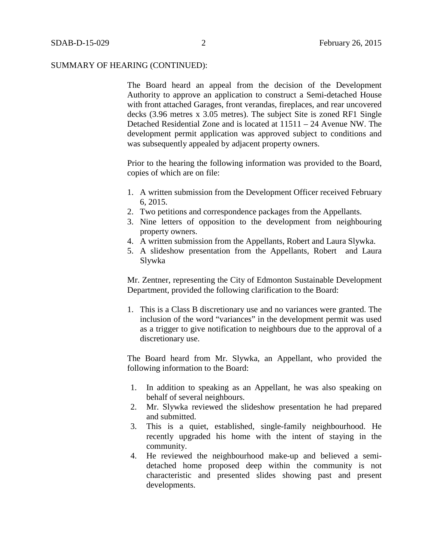The Board heard an appeal from the decision of the Development Authority to approve an application to construct a Semi-detached House with front attached Garages, front verandas, fireplaces, and rear uncovered decks (3.96 metres x 3.05 metres). The subject Site is zoned RF1 Single Detached Residential Zone and is located at 11511 – 24 Avenue NW. The development permit application was approved subject to conditions and was subsequently appealed by adjacent property owners.

Prior to the hearing the following information was provided to the Board, copies of which are on file:

- 1. A written submission from the Development Officer received February 6, 2015.
- 2. Two petitions and correspondence packages from the Appellants.
- 3. Nine letters of opposition to the development from neighbouring property owners.
- 4. A written submission from the Appellants, Robert and Laura Slywka.
- 5. A slideshow presentation from the Appellants, Robert and Laura Slywka

Mr. Zentner, representing the City of Edmonton Sustainable Development Department, provided the following clarification to the Board:

1. This is a Class B discretionary use and no variances were granted. The inclusion of the word "variances" in the development permit was used as a trigger to give notification to neighbours due to the approval of a discretionary use.

The Board heard from Mr. Slywka, an Appellant, who provided the following information to the Board:

- 1. In addition to speaking as an Appellant, he was also speaking on behalf of several neighbours.
- 2. Mr. Slywka reviewed the slideshow presentation he had prepared and submitted.
- 3. This is a quiet, established, single-family neighbourhood. He recently upgraded his home with the intent of staying in the community.
- 4. He reviewed the neighbourhood make-up and believed a semidetached home proposed deep within the community is not characteristic and presented slides showing past and present developments.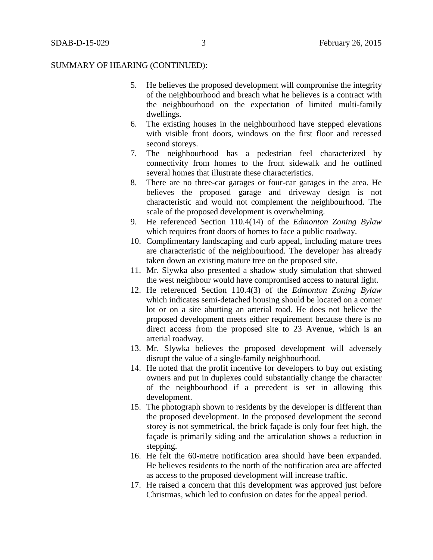- 5. He believes the proposed development will compromise the integrity of the neighbourhood and breach what he believes is a contract with the neighbourhood on the expectation of limited multi-family dwellings.
- 6. The existing houses in the neighbourhood have stepped elevations with visible front doors, windows on the first floor and recessed second storeys.
- 7. The neighbourhood has a pedestrian feel characterized by connectivity from homes to the front sidewalk and he outlined several homes that illustrate these characteristics.
- 8. There are no three-car garages or four-car garages in the area. He believes the proposed garage and driveway design is not characteristic and would not complement the neighbourhood. The scale of the proposed development is overwhelming.
- 9. He referenced Section 110.4(14) of the *Edmonton Zoning Bylaw* which requires front doors of homes to face a public roadway.
- 10. Complimentary landscaping and curb appeal, including mature trees are characteristic of the neighbourhood. The developer has already taken down an existing mature tree on the proposed site.
- 11. Mr. Slywka also presented a shadow study simulation that showed the west neighbour would have compromised access to natural light.
- 12. He referenced Section 110.4(3) of the *Edmonton Zoning Bylaw*  which indicates semi-detached housing should be located on a corner lot or on a site abutting an arterial road. He does not believe the proposed development meets either requirement because there is no direct access from the proposed site to 23 Avenue, which is an arterial roadway.
- 13. Mr. Slywka believes the proposed development will adversely disrupt the value of a single-family neighbourhood.
- 14. He noted that the profit incentive for developers to buy out existing owners and put in duplexes could substantially change the character of the neighbourhood if a precedent is set in allowing this development.
- 15. The photograph shown to residents by the developer is different than the proposed development. In the proposed development the second storey is not symmetrical, the brick façade is only four feet high, the façade is primarily siding and the articulation shows a reduction in stepping.
- 16. He felt the 60-metre notification area should have been expanded. He believes residents to the north of the notification area are affected as access to the proposed development will increase traffic.
- 17. He raised a concern that this development was approved just before Christmas, which led to confusion on dates for the appeal period.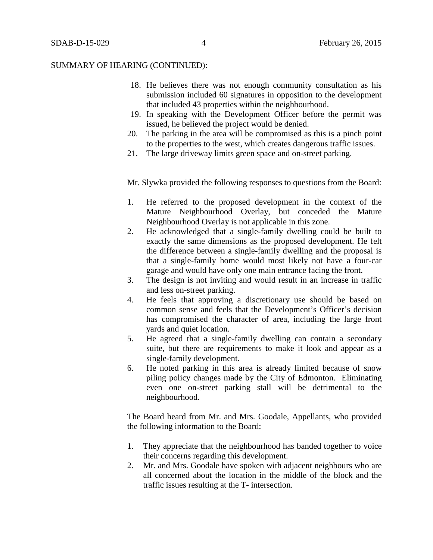- 18. He believes there was not enough community consultation as his submission included 60 signatures in opposition to the development that included 43 properties within the neighbourhood.
- 19. In speaking with the Development Officer before the permit was issued, he believed the project would be denied.
- 20. The parking in the area will be compromised as this is a pinch point to the properties to the west, which creates dangerous traffic issues.
- 21. The large driveway limits green space and on-street parking.

Mr. Slywka provided the following responses to questions from the Board:

- 1. He referred to the proposed development in the context of the Mature Neighbourhood Overlay, but conceded the Mature Neighbourhood Overlay is not applicable in this zone.
- 2. He acknowledged that a single-family dwelling could be built to exactly the same dimensions as the proposed development. He felt the difference between a single-family dwelling and the proposal is that a single-family home would most likely not have a four-car garage and would have only one main entrance facing the front.
- 3. The design is not inviting and would result in an increase in traffic and less on-street parking.
- 4. He feels that approving a discretionary use should be based on common sense and feels that the Development's Officer's decision has compromised the character of area, including the large front yards and quiet location.
- 5. He agreed that a single-family dwelling can contain a secondary suite, but there are requirements to make it look and appear as a single-family development.
- 6. He noted parking in this area is already limited because of snow piling policy changes made by the City of Edmonton. Eliminating even one on-street parking stall will be detrimental to the neighbourhood.

The Board heard from Mr. and Mrs. Goodale, Appellants, who provided the following information to the Board:

- 1. They appreciate that the neighbourhood has banded together to voice their concerns regarding this development.
- 2. Mr. and Mrs. Goodale have spoken with adjacent neighbours who are all concerned about the location in the middle of the block and the traffic issues resulting at the T- intersection.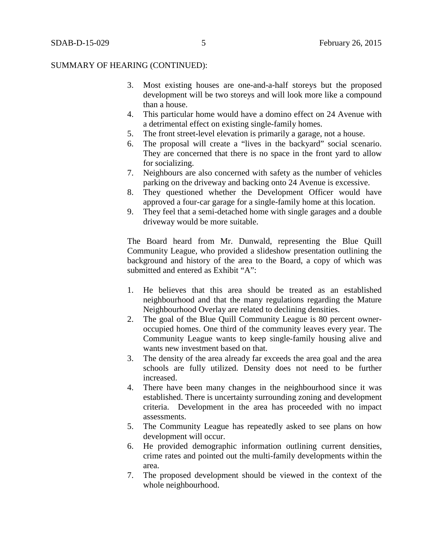- 3. Most existing houses are one-and-a-half storeys but the proposed development will be two storeys and will look more like a compound than a house.
- 4. This particular home would have a domino effect on 24 Avenue with a detrimental effect on existing single-family homes.
- 5. The front street-level elevation is primarily a garage, not a house.
- 6. The proposal will create a "lives in the backyard" social scenario. They are concerned that there is no space in the front yard to allow for socializing.
- 7. Neighbours are also concerned with safety as the number of vehicles parking on the driveway and backing onto 24 Avenue is excessive.
- 8. They questioned whether the Development Officer would have approved a four-car garage for a single-family home at this location.
- 9. They feel that a semi-detached home with single garages and a double driveway would be more suitable.

The Board heard from Mr. Dunwald, representing the Blue Quill Community League, who provided a slideshow presentation outlining the background and history of the area to the Board, a copy of which was submitted and entered as Exhibit "A":

- 1. He believes that this area should be treated as an established neighbourhood and that the many regulations regarding the Mature Neighbourhood Overlay are related to declining densities.
- 2. The goal of the Blue Quill Community League is 80 percent owneroccupied homes. One third of the community leaves every year. The Community League wants to keep single-family housing alive and wants new investment based on that.
- 3. The density of the area already far exceeds the area goal and the area schools are fully utilized. Density does not need to be further increased.
- 4. There have been many changes in the neighbourhood since it was established. There is uncertainty surrounding zoning and development criteria. Development in the area has proceeded with no impact assessments.
- 5. The Community League has repeatedly asked to see plans on how development will occur.
- 6. He provided demographic information outlining current densities, crime rates and pointed out the multi-family developments within the area.
- 7. The proposed development should be viewed in the context of the whole neighbourhood.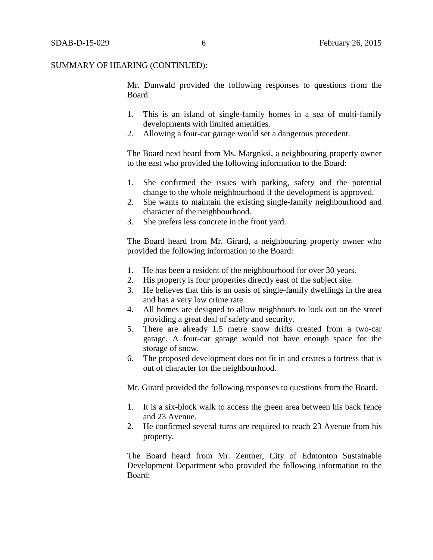Mr. Dunwald provided the following responses to questions from the Board:

- 1. This is an island of single-family homes in a sea of multi-family developments with limited amenities.
- 2. Allowing a four-car garage would set a dangerous precedent.

The Board next heard from Ms. Margnksi, a neighbouring property owner to the east who provided the following information to the Board:

- 1. She confirmed the issues with parking, safety and the potential change to the whole neighbourhood if the development is approved.
- 2. She wants to maintain the existing single-family neighbourhood and character of the neighbourhood.
- 3. She prefers less concrete in the front yard.

The Board heard from Mr. Girard, a neighbouring property owner who provided the following information to the Board:

- 1. He has been a resident of the neighbourhood for over 30 years.
- 2. His property is four properties directly east of the subject site.
- 3. He believes that this is an oasis of single-family dwellings in the area and has a very low crime rate.
- 4. All homes are designed to allow neighbours to look out on the street providing a great deal of safety and security.
- 5. There are already 1.5 metre snow drifts created from a two-car garage. A four-car garage would not have enough space for the storage of snow.
- 6. The proposed development does not fit in and creates a fortress that is out of character for the neighbourhood.

Mr. Girard provided the following responses to questions from the Board.

- 1. It is a six-block walk to access the green area between his back fence and 23 Avenue.
- 2. He confirmed several turns are required to reach 23 Avenue from his property.

The Board heard from Mr. Zentner, City of Edmonton Sustainable Development Department who provided the following information to the Board: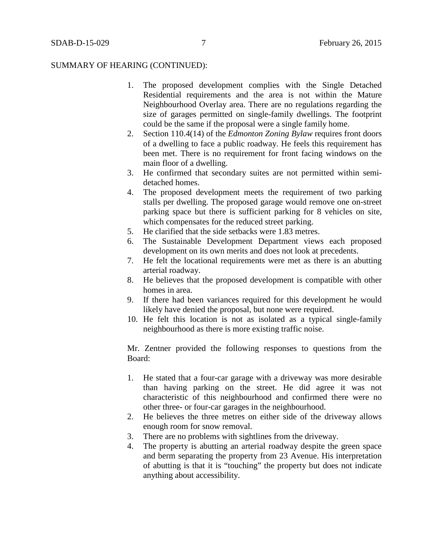- 1. The proposed development complies with the Single Detached Residential requirements and the area is not within the Mature Neighbourhood Overlay area. There are no regulations regarding the size of garages permitted on single-family dwellings. The footprint could be the same if the proposal were a single family home.
- 2. Section 110.4(14) of the *Edmonton Zoning Bylaw* requires front doors of a dwelling to face a public roadway. He feels this requirement has been met. There is no requirement for front facing windows on the main floor of a dwelling.
- 3. He confirmed that secondary suites are not permitted within semidetached homes.
- 4. The proposed development meets the requirement of two parking stalls per dwelling. The proposed garage would remove one on-street parking space but there is sufficient parking for 8 vehicles on site, which compensates for the reduced street parking.
- 5. He clarified that the side setbacks were 1.83 metres.
- 6. The Sustainable Development Department views each proposed development on its own merits and does not look at precedents.
- 7. He felt the locational requirements were met as there is an abutting arterial roadway.
- 8. He believes that the proposed development is compatible with other homes in area.
- 9. If there had been variances required for this development he would likely have denied the proposal, but none were required.
- 10. He felt this location is not as isolated as a typical single-family neighbourhood as there is more existing traffic noise.

Mr. Zentner provided the following responses to questions from the Board:

- 1. He stated that a four-car garage with a driveway was more desirable than having parking on the street. He did agree it was not characteristic of this neighbourhood and confirmed there were no other three- or four-car garages in the neighbourhood.
- 2. He believes the three metres on either side of the driveway allows enough room for snow removal.
- 3. There are no problems with sightlines from the driveway.
- 4. The property is abutting an arterial roadway despite the green space and berm separating the property from 23 Avenue. His interpretation of abutting is that it is "touching" the property but does not indicate anything about accessibility.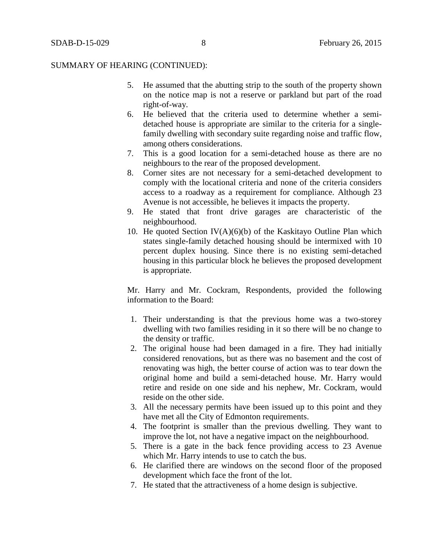- 5. He assumed that the abutting strip to the south of the property shown on the notice map is not a reserve or parkland but part of the road right-of-way.
- 6. He believed that the criteria used to determine whether a semidetached house is appropriate are similar to the criteria for a singlefamily dwelling with secondary suite regarding noise and traffic flow, among others considerations.
- 7. This is a good location for a semi-detached house as there are no neighbours to the rear of the proposed development.
- 8. Corner sites are not necessary for a semi-detached development to comply with the locational criteria and none of the criteria considers access to a roadway as a requirement for compliance. Although 23 Avenue is not accessible, he believes it impacts the property.
- 9. He stated that front drive garages are characteristic of the neighbourhood.
- 10. He quoted Section  $IV(A)(6)(b)$  of the Kaskitayo Outline Plan which states single-family detached housing should be intermixed with 10 percent duplex housing. Since there is no existing semi-detached housing in this particular block he believes the proposed development is appropriate.

Mr. Harry and Mr. Cockram, Respondents, provided the following information to the Board:

- 1. Their understanding is that the previous home was a two-storey dwelling with two families residing in it so there will be no change to the density or traffic.
- 2. The original house had been damaged in a fire. They had initially considered renovations, but as there was no basement and the cost of renovating was high, the better course of action was to tear down the original home and build a semi-detached house. Mr. Harry would retire and reside on one side and his nephew, Mr. Cockram, would reside on the other side.
- 3. All the necessary permits have been issued up to this point and they have met all the City of Edmonton requirements.
- 4. The footprint is smaller than the previous dwelling. They want to improve the lot, not have a negative impact on the neighbourhood.
- 5. There is a gate in the back fence providing access to 23 Avenue which Mr. Harry intends to use to catch the bus.
- 6. He clarified there are windows on the second floor of the proposed development which face the front of the lot.
- 7. He stated that the attractiveness of a home design is subjective.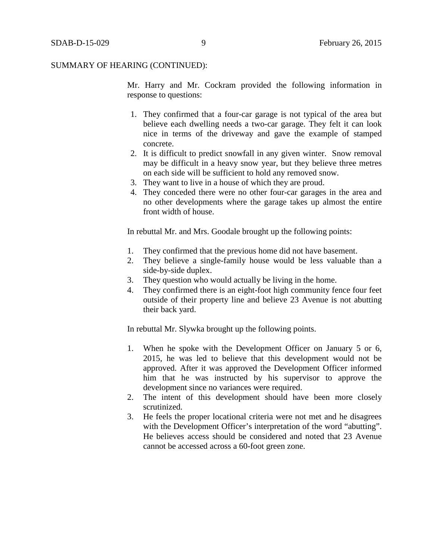Mr. Harry and Mr. Cockram provided the following information in response to questions:

- 1. They confirmed that a four-car garage is not typical of the area but believe each dwelling needs a two-car garage. They felt it can look nice in terms of the driveway and gave the example of stamped concrete.
- 2. It is difficult to predict snowfall in any given winter. Snow removal may be difficult in a heavy snow year, but they believe three metres on each side will be sufficient to hold any removed snow.
- 3. They want to live in a house of which they are proud.
- 4. They conceded there were no other four-car garages in the area and no other developments where the garage takes up almost the entire front width of house.

In rebuttal Mr. and Mrs. Goodale brought up the following points:

- 1. They confirmed that the previous home did not have basement.
- 2. They believe a single-family house would be less valuable than a side-by-side duplex.
- 3. They question who would actually be living in the home.
- 4. They confirmed there is an eight-foot high community fence four feet outside of their property line and believe 23 Avenue is not abutting their back yard.

In rebuttal Mr. Slywka brought up the following points.

- 1. When he spoke with the Development Officer on January 5 or 6, 2015, he was led to believe that this development would not be approved. After it was approved the Development Officer informed him that he was instructed by his supervisor to approve the development since no variances were required.
- 2. The intent of this development should have been more closely scrutinized.
- 3. He feels the proper locational criteria were not met and he disagrees with the Development Officer's interpretation of the word "abutting". He believes access should be considered and noted that 23 Avenue cannot be accessed across a 60-foot green zone.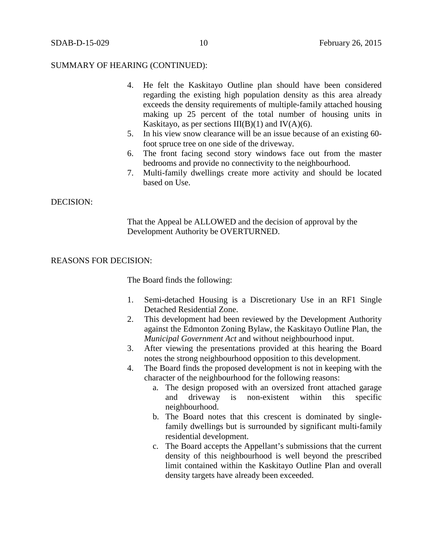- 4. He felt the Kaskitayo Outline plan should have been considered regarding the existing high population density as this area already exceeds the density requirements of multiple-family attached housing making up 25 percent of the total number of housing units in Kaskitayo, as per sections  $III(B)(1)$  and  $IV(A)(6)$ .
- 5. In his view snow clearance will be an issue because of an existing 60 foot spruce tree on one side of the driveway.
- 6. The front facing second story windows face out from the master bedrooms and provide no connectivity to the neighbourhood.
- 7. Multi-family dwellings create more activity and should be located based on Use.

## DECISION:

That the Appeal be ALLOWED and the decision of approval by the Development Authority be OVERTURNED.

# REASONS FOR DECISION:

The Board finds the following:

- 1. Semi-detached Housing is a Discretionary Use in an RF1 Single Detached Residential Zone.
- 2. This development had been reviewed by the Development Authority against the Edmonton Zoning Bylaw, the Kaskitayo Outline Plan, the *Municipal Government Act* and without neighbourhood input.
- 3. After viewing the presentations provided at this hearing the Board notes the strong neighbourhood opposition to this development.
- 4. The Board finds the proposed development is not in keeping with the character of the neighbourhood for the following reasons:
	- a. The design proposed with an oversized front attached garage and driveway is non-existent within this specific neighbourhood.
	- b. The Board notes that this crescent is dominated by singlefamily dwellings but is surrounded by significant multi-family residential development.
	- c. The Board accepts the Appellant's submissions that the current density of this neighbourhood is well beyond the prescribed limit contained within the Kaskitayo Outline Plan and overall density targets have already been exceeded.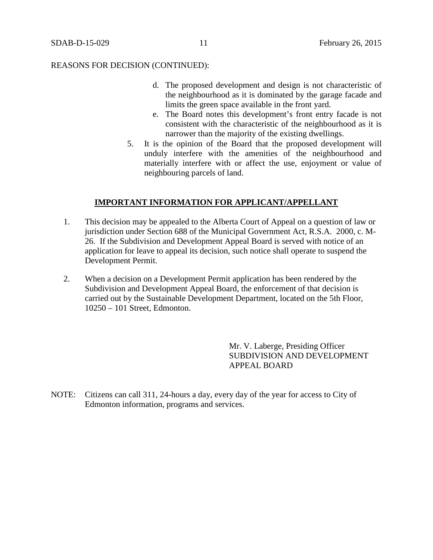## REASONS FOR DECISION (CONTINUED):

- d. The proposed development and design is not characteristic of the neighbourhood as it is dominated by the garage facade and limits the green space available in the front yard.
- e. The Board notes this development's front entry facade is not consistent with the characteristic of the neighbourhood as it is narrower than the majority of the existing dwellings.
- 5. It is the opinion of the Board that the proposed development will unduly interfere with the amenities of the neighbourhood and materially interfere with or affect the use, enjoyment or value of neighbouring parcels of land.

# **IMPORTANT INFORMATION FOR APPLICANT/APPELLANT**

- 1. This decision may be appealed to the Alberta Court of Appeal on a question of law or jurisdiction under Section 688 of the Municipal Government Act, R.S.A. 2000, c. M-26. If the Subdivision and Development Appeal Board is served with notice of an application for leave to appeal its decision, such notice shall operate to suspend the Development Permit.
- 2. When a decision on a Development Permit application has been rendered by the Subdivision and Development Appeal Board, the enforcement of that decision is carried out by the Sustainable Development Department, located on the 5th Floor, 10250 – 101 Street, Edmonton.

Mr. V. Laberge, Presiding Officer SUBDIVISION AND DEVELOPMENT APPEAL BOARD

NOTE: Citizens can call 311, 24-hours a day, every day of the year for access to City of Edmonton information, programs and services.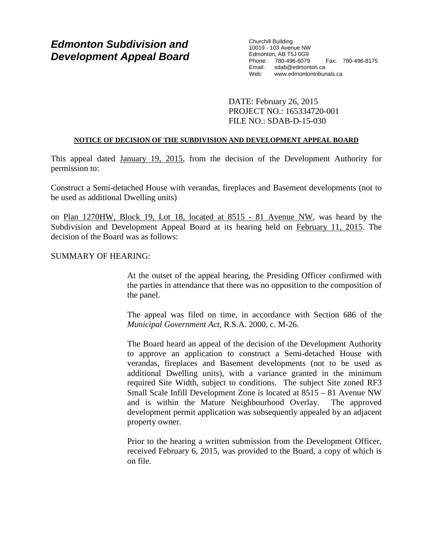# *Edmonton Subdivision and Development Appeal Board*

Churchill Building 10019 - 103 Avenue NW Edmonton, AB T5J 0G9 Phone: 780-496-6079 Fax: 780-496-8175 Email: sdab@edmonton.ca<br>Web: www.edmontontribur www.edmontontribunals.ca

DATE: February 26, 2015 PROJECT NO.: 165334720-001 FILE NO.: SDAB-D-15-030

## **NOTICE OF DECISION OF THE SUBDIVISION AND DEVELOPMENT APPEAL BOARD**

This appeal dated January 19, 2015, from the decision of the Development Authority for permission to:

Construct a Semi-detached House with verandas, fireplaces and Basement developments (not to be used as additional Dwelling units)

on Plan 1270HW, Block 19, Lot 18, located at 8515 - 81 Avenue NW, was heard by the Subdivision and Development Appeal Board at its hearing held on February 11, 2015. The decision of the Board was as follows:

## SUMMARY OF HEARING:

At the outset of the appeal hearing, the Presiding Officer confirmed with the parties in attendance that there was no opposition to the composition of the panel.

The appeal was filed on time, in accordance with Section 686 of the *Municipal Government Act*, R.S.A. 2000, c. M-26.

The Board heard an appeal of the decision of the Development Authority to approve an application to construct a Semi-detached House with verandas, fireplaces and Basement developments (not to be used as additional Dwelling units), with a variance granted in the minimum required Site Width, subject to conditions. The subject Site zoned RF3 Small Scale Infill Development Zone is located at 8515 – 81 Avenue NW and is within the Mature Neighbourhood Overlay. The approved development permit application was subsequently appealed by an adjacent property owner.

Prior to the hearing a written submission from the Development Officer, received February 6, 2015, was provided to the Board, a copy of which is on file.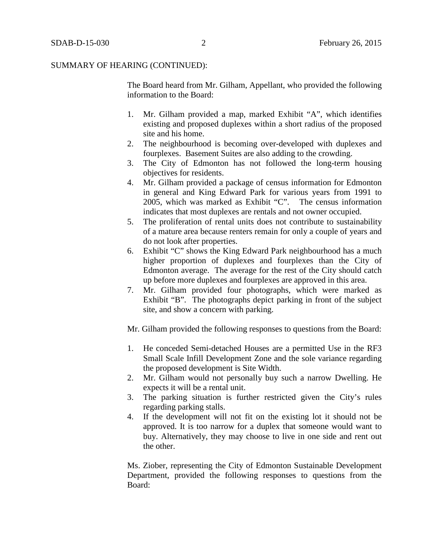The Board heard from Mr. Gilham, Appellant, who provided the following information to the Board:

- 1. Mr. Gilham provided a map, marked Exhibit "A", which identifies existing and proposed duplexes within a short radius of the proposed site and his home.
- 2. The neighbourhood is becoming over-developed with duplexes and fourplexes. Basement Suites are also adding to the crowding.
- 3. The City of Edmonton has not followed the long-term housing objectives for residents.
- 4. Mr. Gilham provided a package of census information for Edmonton in general and King Edward Park for various years from 1991 to 2005, which was marked as Exhibit "C". The census information indicates that most duplexes are rentals and not owner occupied.
- 5. The proliferation of rental units does not contribute to sustainability of a mature area because renters remain for only a couple of years and do not look after properties.
- 6. Exhibit "C" shows the King Edward Park neighbourhood has a much higher proportion of duplexes and fourplexes than the City of Edmonton average. The average for the rest of the City should catch up before more duplexes and fourplexes are approved in this area.
- 7. Mr. Gilham provided four photographs, which were marked as Exhibit "B". The photographs depict parking in front of the subject site, and show a concern with parking.

Mr. Gilham provided the following responses to questions from the Board:

- 1. He conceded Semi-detached Houses are a permitted Use in the RF3 Small Scale Infill Development Zone and the sole variance regarding the proposed development is Site Width.
- 2. Mr. Gilham would not personally buy such a narrow Dwelling. He expects it will be a rental unit.
- 3. The parking situation is further restricted given the City's rules regarding parking stalls.
- 4. If the development will not fit on the existing lot it should not be approved. It is too narrow for a duplex that someone would want to buy. Alternatively, they may choose to live in one side and rent out the other.

Ms. Ziober, representing the City of Edmonton Sustainable Development Department, provided the following responses to questions from the Board: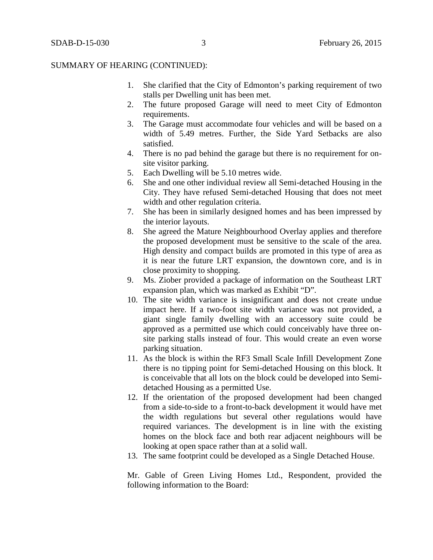- 1. She clarified that the City of Edmonton's parking requirement of two stalls per Dwelling unit has been met.
- 2. The future proposed Garage will need to meet City of Edmonton requirements.
- 3. The Garage must accommodate four vehicles and will be based on a width of 5.49 metres. Further, the Side Yard Setbacks are also satisfied.
- 4. There is no pad behind the garage but there is no requirement for onsite visitor parking.
- 5. Each Dwelling will be 5.10 metres wide.
- 6. She and one other individual review all Semi-detached Housing in the City. They have refused Semi-detached Housing that does not meet width and other regulation criteria.
- 7. She has been in similarly designed homes and has been impressed by the interior layouts.
- 8. She agreed the Mature Neighbourhood Overlay applies and therefore the proposed development must be sensitive to the scale of the area. High density and compact builds are promoted in this type of area as it is near the future LRT expansion, the downtown core, and is in close proximity to shopping.
- 9. Ms. Ziober provided a package of information on the Southeast LRT expansion plan, which was marked as Exhibit "D".
- 10. The site width variance is insignificant and does not create undue impact here. If a two-foot site width variance was not provided, a giant single family dwelling with an accessory suite could be approved as a permitted use which could conceivably have three onsite parking stalls instead of four. This would create an even worse parking situation.
- 11. As the block is within the RF3 Small Scale Infill Development Zone there is no tipping point for Semi-detached Housing on this block. It is conceivable that all lots on the block could be developed into Semidetached Housing as a permitted Use.
- 12. If the orientation of the proposed development had been changed from a side-to-side to a front-to-back development it would have met the width regulations but several other regulations would have required variances. The development is in line with the existing homes on the block face and both rear adjacent neighbours will be looking at open space rather than at a solid wall.
- 13. The same footprint could be developed as a Single Detached House.

Mr. Gable of Green Living Homes Ltd., Respondent, provided the following information to the Board: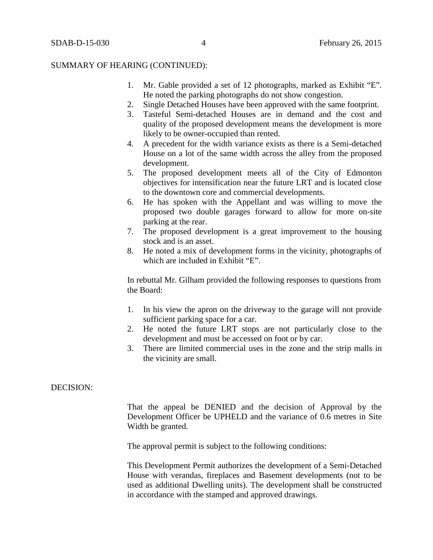- 1. Mr. Gable provided a set of 12 photographs, marked as Exhibit "E". He noted the parking photographs do not show congestion.
- 2. Single Detached Houses have been approved with the same footprint.
- 3. Tasteful Semi-detached Houses are in demand and the cost and quality of the proposed development means the development is more likely to be owner-occupied than rented.
- 4. A precedent for the width variance exists as there is a Semi-detached House on a lot of the same width across the alley from the proposed development.
- 5. The proposed development meets all of the City of Edmonton objectives for intensification near the future LRT and is located close to the downtown core and commercial developments.
- 6. He has spoken with the Appellant and was willing to move the proposed two double garages forward to allow for more on-site parking at the rear.
- 7. The proposed development is a great improvement to the housing stock and is an asset.
- 8. He noted a mix of development forms in the vicinity, photographs of which are included in Exhibit "E".

In rebuttal Mr. Gilham provided the following responses to questions from the Board:

- 1. In his view the apron on the driveway to the garage will not provide sufficient parking space for a car.
- 2. He noted the future LRT stops are not particularly close to the development and must be accessed on foot or by car.
- 3. There are limited commercial uses in the zone and the strip malls in the vicinity are small.

#### DECISION:

That the appeal be DENIED and the decision of Approval by the Development Officer be UPHELD and the variance of 0.6 metres in Site Width be granted.

The approval permit is subject to the following conditions:

This Development Permit authorizes the development of a Semi-Detached House with verandas, fireplaces and Basement developments (not to be used as additional Dwelling units). The development shall be constructed in accordance with the stamped and approved drawings.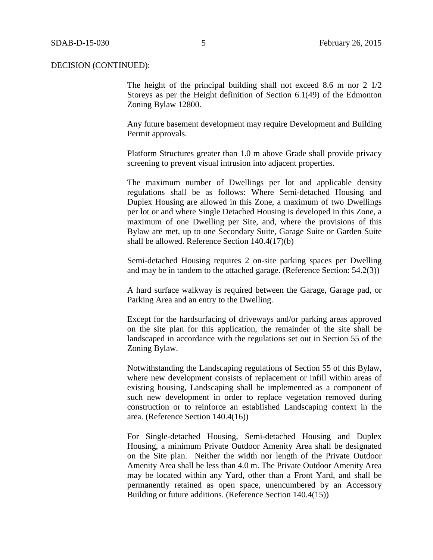## DECISION (CONTINUED):

The height of the principal building shall not exceed 8.6 m nor 2 1/2 Storeys as per the Height definition of Section 6.1(49) of the Edmonton Zoning Bylaw 12800.

Any future basement development may require Development and Building Permit approvals.

Platform Structures greater than 1.0 m above Grade shall provide privacy screening to prevent visual intrusion into adjacent properties.

The maximum number of Dwellings per lot and applicable density regulations shall be as follows: Where Semi-detached Housing and Duplex Housing are allowed in this Zone, a maximum of two Dwellings per lot or and where Single Detached Housing is developed in this Zone, a maximum of one Dwelling per Site, and, where the provisions of this Bylaw are met, up to one Secondary Suite, Garage Suite or Garden Suite shall be allowed. Reference Section 140.4(17)(b)

Semi-detached Housing requires 2 on-site parking spaces per Dwelling and may be in tandem to the attached garage. (Reference Section: 54.2(3))

A hard surface walkway is required between the Garage, Garage pad, or Parking Area and an entry to the Dwelling.

Except for the hardsurfacing of driveways and/or parking areas approved on the site plan for this application, the remainder of the site shall be landscaped in accordance with the regulations set out in Section 55 of the Zoning Bylaw.

Notwithstanding the Landscaping regulations of Section 55 of this Bylaw, where new development consists of replacement or infill within areas of existing housing, Landscaping shall be implemented as a component of such new development in order to replace vegetation removed during construction or to reinforce an established Landscaping context in the area. (Reference Section 140.4(16))

For Single-detached Housing, Semi-detached Housing and Duplex Housing, a minimum Private Outdoor Amenity Area shall be designated on the Site plan. Neither the width nor length of the Private Outdoor Amenity Area shall be less than 4.0 m. The Private Outdoor Amenity Area may be located within any Yard, other than a Front Yard, and shall be permanently retained as open space, unencumbered by an Accessory Building or future additions. (Reference Section 140.4(15))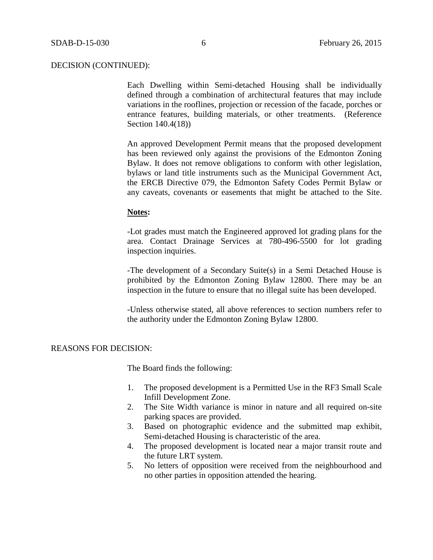# DECISION (CONTINUED):

Each Dwelling within Semi-detached Housing shall be individually defined through a combination of architectural features that may include variations in the rooflines, projection or recession of the facade, porches or entrance features, building materials, or other treatments. (Reference Section 140.4(18))

An approved Development Permit means that the proposed development has been reviewed only against the provisions of the Edmonton Zoning Bylaw. It does not remove obligations to conform with other legislation, bylaws or land title instruments such as the Municipal Government Act, the ERCB Directive 079, the Edmonton Safety Codes Permit Bylaw or any caveats, covenants or easements that might be attached to the Site.

#### **Notes:**

-Lot grades must match the Engineered approved lot grading plans for the area. Contact Drainage Services at 780-496-5500 for lot grading inspection inquiries.

-The development of a Secondary Suite(s) in a Semi Detached House is prohibited by the Edmonton Zoning Bylaw 12800. There may be an inspection in the future to ensure that no illegal suite has been developed.

-Unless otherwise stated, all above references to section numbers refer to the authority under the Edmonton Zoning Bylaw 12800.

### REASONS FOR DECISION:

The Board finds the following:

- 1. The proposed development is a Permitted Use in the RF3 Small Scale Infill Development Zone.
- 2. The Site Width variance is minor in nature and all required on-site parking spaces are provided.
- 3. Based on photographic evidence and the submitted map exhibit, Semi-detached Housing is characteristic of the area.
- 4. The proposed development is located near a major transit route and the future LRT system.
- 5. No letters of opposition were received from the neighbourhood and no other parties in opposition attended the hearing.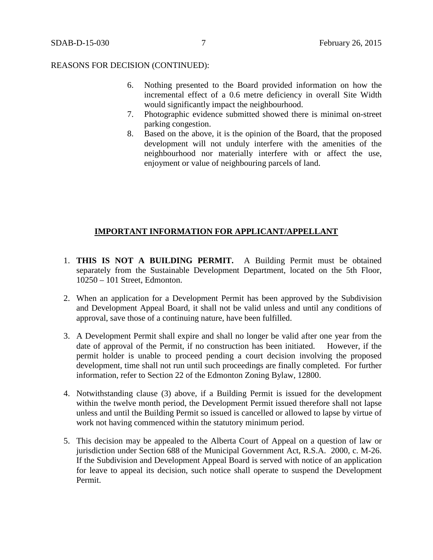#### REASONS FOR DECISION (CONTINUED):

- 6. Nothing presented to the Board provided information on how the incremental effect of a 0.6 metre deficiency in overall Site Width would significantly impact the neighbourhood.
- 7. Photographic evidence submitted showed there is minimal on-street parking congestion.
- 8. Based on the above, it is the opinion of the Board, that the proposed development will not unduly interfere with the amenities of the neighbourhood nor materially interfere with or affect the use, enjoyment or value of neighbouring parcels of land.

# **IMPORTANT INFORMATION FOR APPLICANT/APPELLANT**

- 1. **THIS IS NOT A BUILDING PERMIT.** A Building Permit must be obtained separately from the Sustainable Development Department, located on the 5th Floor, 10250 – 101 Street, Edmonton.
- 2. When an application for a Development Permit has been approved by the Subdivision and Development Appeal Board, it shall not be valid unless and until any conditions of approval, save those of a continuing nature, have been fulfilled.
- 3. A Development Permit shall expire and shall no longer be valid after one year from the date of approval of the Permit, if no construction has been initiated. However, if the permit holder is unable to proceed pending a court decision involving the proposed development, time shall not run until such proceedings are finally completed. For further information, refer to Section 22 of the Edmonton Zoning Bylaw, 12800.
- 4. Notwithstanding clause (3) above, if a Building Permit is issued for the development within the twelve month period, the Development Permit issued therefore shall not lapse unless and until the Building Permit so issued is cancelled or allowed to lapse by virtue of work not having commenced within the statutory minimum period.
- 5. This decision may be appealed to the Alberta Court of Appeal on a question of law or jurisdiction under Section 688 of the Municipal Government Act, R.S.A. 2000, c. M-26. If the Subdivision and Development Appeal Board is served with notice of an application for leave to appeal its decision, such notice shall operate to suspend the Development Permit.